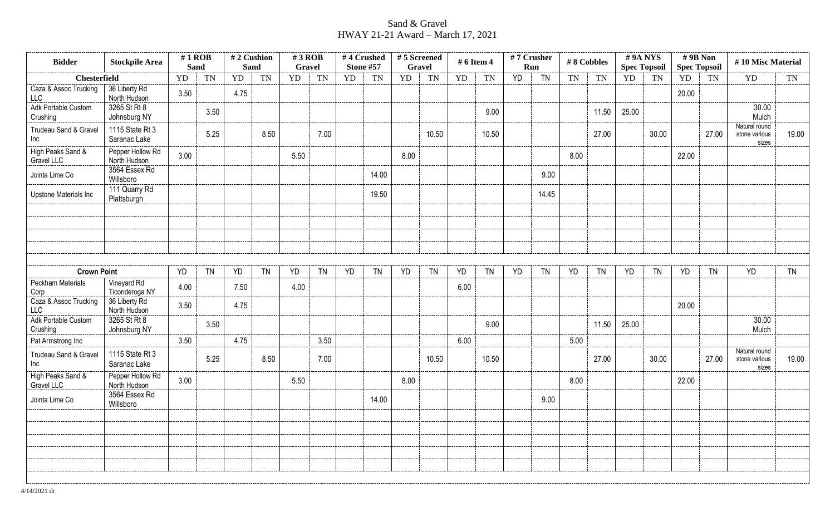## Sand & Gravel HWAY 21-21 Award – March 17, 2021

| <b>Bidder</b>                              | <b>Stockpile Area</b>                             | $#1$ ROB<br><b>Sand</b> |           | #2 Cushion<br>Sand |           | #3 ROB<br>Gravel |              |           | #4 Crushed<br><b>Stone #57</b> | #5 Screened<br><b>Gravel</b> |           | # 6 Item 4 |           |           | $#7$ Crusher<br>Run |           | #8 Cobbles | #9ANYS<br><b>Spec Topsoil</b> |           | $# 9B$ Non<br><b>Spec Topsoil</b> |           | #10 Misc Material                       |           |
|--------------------------------------------|---------------------------------------------------|-------------------------|-----------|--------------------|-----------|------------------|--------------|-----------|--------------------------------|------------------------------|-----------|------------|-----------|-----------|---------------------|-----------|------------|-------------------------------|-----------|-----------------------------------|-----------|-----------------------------------------|-----------|
| <b>Chesterfield</b>                        |                                                   | YD                      | <b>TN</b> | YD                 | <b>TN</b> | YD               | <b>TN</b>    | <b>YD</b> | <b>TN</b>                      | YD                           | <b>TN</b> | <b>YD</b>  | <b>TN</b> | <b>YD</b> | <b>TN</b>           | <b>TN</b> | TN         | YD                            | <b>TN</b> | YD                                | TN        | YD                                      | TN        |
| Caza & Assoc Trucking<br>LLC               | 36 Liberty Rd<br>North Hudson                     | 3.50                    |           | 4.75               |           |                  |              |           |                                |                              |           |            |           |           |                     |           |            |                               |           | 20.00                             |           |                                         |           |
| Adk Portable Custom<br>Crushing            | 3265 St Rt 8<br>Johnsburg NY                      |                         | 3.50      |                    |           |                  |              |           |                                |                              |           |            | 9.00      |           |                     |           | 11.50      | 25.00                         |           |                                   |           | 30.00<br>Mulch                          |           |
| Trudeau Sand & Gravel<br>Inc               | 1115 State Rt 3<br>Saranac Lake                   |                         | 5.25      |                    | 8.50      |                  | 7.00         |           |                                |                              | 10.50     |            | 10.50     |           |                     |           | 27.00      |                               | 30.00     |                                   | 27.00     | Natural round<br>stone various<br>sizes | 19.00     |
| High Peaks Sand &<br>Gravel LLC            | Pepper Hollow Rd<br>North Hudson                  | 3.00                    |           |                    |           | 5.50             |              |           |                                | 8.00                         |           |            |           |           |                     | 8.00      |            |                               |           | 22.00                             |           |                                         |           |
| Jointa Lime Co                             | 3564 Essex Rd<br>Willsboro                        |                         |           |                    |           |                  |              |           | 14.00                          |                              |           |            |           |           | 9.00                |           |            |                               |           |                                   |           |                                         |           |
| Upstone Materials Inc                      | 111 Quarry Rd<br>Plattsburgh                      |                         |           |                    |           |                  |              |           | 19.50                          |                              |           |            |           |           | 14.45               |           |            |                               |           |                                   |           |                                         |           |
|                                            |                                                   |                         |           |                    |           |                  |              |           |                                |                              |           |            |           |           |                     |           |            |                               |           |                                   |           |                                         |           |
|                                            |                                                   |                         |           |                    |           |                  |              |           |                                |                              |           |            |           |           |                     |           |            |                               |           |                                   |           |                                         |           |
| <b>Crown Point</b>                         |                                                   | YD                      | <b>TN</b> | YD                 | <b>TN</b> | YD               | <b>TN</b>    | YD        | <b>TN</b>                      | YD                           | <b>TN</b> | YD         | <b>TN</b> | <b>YD</b> | <b>TN</b>           | YD        | <b>TN</b>  | YD                            | <b>TN</b> | <b>YD</b>                         | <b>TN</b> | <b>YD</b>                               | <b>TN</b> |
| <b>Peckham Materials</b><br>Corp           | Vineyard Rd<br>Ticonderoga NY                     | 4.00                    |           | 7.50               |           | 4.00             |              |           |                                |                              |           | 6.00       |           |           |                     |           |            |                               |           |                                   |           |                                         |           |
| Caza & Assoc Trucking<br><b>LLC</b>        | 36 Liberty Rd<br>North Hudson<br>3265 St Rt 8     | 3.50                    |           | 4.75               |           |                  |              |           |                                |                              |           |            |           |           |                     |           |            |                               |           | 20.00                             |           | 30.00                                   |           |
| Adk Portable Custom<br>Crushing            | Johnsburg NY                                      |                         | 3.50      |                    |           |                  |              |           |                                |                              |           |            | 9.00      |           |                     |           | 11.50      | 25.00                         |           |                                   |           | Mulch                                   |           |
| Pat Armstrong Inc<br>Trudeau Sand & Gravel | 1115 State Rt 3                                   | 3.50                    | 5.25      | 4.75               | 8.50      |                  | 3.50<br>7.00 |           |                                |                              | 10.50     | 6.00       | 10.50     |           |                     | 5.00      | 27.00      |                               | 30.00     |                                   | 27.00     | Natural round<br>stone various          | 19.00     |
| Inc                                        | Saranac Lake                                      |                         |           |                    |           |                  |              |           |                                |                              |           |            |           |           |                     |           |            |                               |           |                                   |           | sizes                                   |           |
| High Peaks Sand &<br>Gravel LLC            | Pepper Hollow Rd<br>North Hudson<br>3564 Essex Rd | 3.00                    |           |                    |           | 5.50             |              |           |                                | 8.00                         |           |            |           |           |                     | 8.00      |            |                               |           | 22.00                             |           |                                         |           |
| Jointa Lime Co                             | Willsboro                                         |                         |           |                    |           |                  |              |           | 14.00                          |                              |           |            |           |           | 9.00                |           |            |                               |           |                                   |           |                                         |           |
|                                            |                                                   |                         |           |                    |           |                  |              |           |                                |                              |           |            |           |           |                     |           |            |                               |           |                                   |           |                                         |           |
|                                            |                                                   |                         |           |                    |           |                  |              |           |                                |                              |           |            |           |           |                     |           |            |                               |           |                                   |           |                                         |           |
|                                            |                                                   |                         |           |                    |           |                  |              |           |                                |                              |           |            |           |           |                     |           |            |                               |           |                                   |           |                                         |           |
|                                            |                                                   |                         |           |                    |           |                  |              |           |                                |                              |           |            |           |           |                     |           |            |                               |           |                                   |           |                                         |           |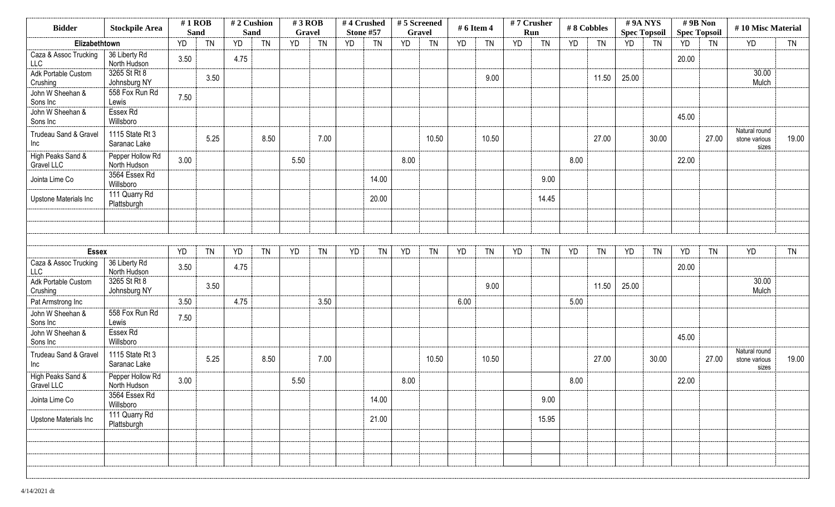| <b>Bidder</b>                       | <b>Stockpile Area</b>            | $#1$ ROB<br><b>Sand</b> |           | #2 Cushion<br><b>Sand</b> |           | $#3$ ROB<br>Gravel |           | #4 Crushed<br><b>Stone #57</b> |           | #5 Screened<br><b>Gravel</b> |           | # 6 Item 4 |           | #7 Crusher<br>Run |           | #8 Cobbles |           | #9A NYS<br><b>Spec Topsoil</b> |           | #9B Non<br><b>Spec Topsoil</b> |           | #10 Misc Material                       |           |
|-------------------------------------|----------------------------------|-------------------------|-----------|---------------------------|-----------|--------------------|-----------|--------------------------------|-----------|------------------------------|-----------|------------|-----------|-------------------|-----------|------------|-----------|--------------------------------|-----------|--------------------------------|-----------|-----------------------------------------|-----------|
| Elizabethtown                       |                                  | <b>YD</b>               | <b>TN</b> | YD                        | <b>TN</b> | <b>YD</b>          | <b>TN</b> | <b>YD</b>                      | <b>TN</b> | <b>YD</b>                    | <b>TN</b> | YD         | <b>TN</b> | <b>YD</b>         | <b>TN</b> | YD         | <b>TN</b> | <b>YD</b>                      | <b>TN</b> | YD                             | TN        | <b>YD</b>                               | <b>TN</b> |
| Caza & Assoc Trucking<br><b>LLC</b> | 36 Liberty Rd<br>North Hudson    | 3.50                    |           | 4.75                      |           |                    |           |                                |           |                              |           |            |           |                   |           |            |           |                                |           | 20.00                          |           |                                         |           |
| Adk Portable Custom<br>Crushing     | 3265 St Rt 8<br>Johnsburg NY     |                         | 3.50      |                           |           |                    |           |                                |           |                              |           |            | 9.00      |                   |           |            | 11.50     | 25.00                          |           |                                |           | 30.00<br>Mulch                          |           |
| John W Sheehan &<br>Sons Inc        | 558 Fox Run Rd<br>Lewis          | 7.50                    |           |                           |           |                    |           |                                |           |                              |           |            |           |                   |           |            |           |                                |           |                                |           |                                         |           |
| John W Sheehan &<br>Sons Inc        | Essex Rd<br>Willsboro            |                         |           |                           |           |                    |           |                                |           |                              |           |            |           |                   |           |            |           |                                |           | 45.00                          |           |                                         |           |
| Trudeau Sand & Gravel<br>Inc        | 1115 State Rt 3<br>Saranac Lake  |                         | 5.25      |                           | 8.50      |                    | 7.00      |                                |           |                              | 10.50     |            | 10.50     |                   |           |            | 27.00     |                                | 30.00     |                                | 27.00     | Natural round<br>stone various<br>sizes | 19.00     |
| High Peaks Sand &<br>Gravel LLC     | Pepper Hollow Rd<br>North Hudson | 3.00                    |           |                           |           | 5.50               |           |                                |           | 8.00                         |           |            |           |                   |           | 8.00       |           |                                |           | 22.00                          |           |                                         |           |
| Jointa Lime Co                      | 3564 Essex Rd<br>Willsboro       |                         |           |                           |           |                    |           |                                | 14.00     |                              |           |            |           |                   | 9.00      |            |           |                                |           |                                |           |                                         |           |
| Upstone Materials Inc               | 111 Quarry Rd<br>Plattsburgh     |                         |           |                           |           |                    |           |                                | 20.00     |                              |           |            |           |                   | 14.45     |            |           |                                |           |                                |           |                                         |           |
|                                     |                                  |                         |           |                           |           |                    |           |                                |           |                              |           |            |           |                   |           |            |           |                                |           |                                |           |                                         |           |
|                                     |                                  |                         |           |                           |           |                    |           |                                |           |                              |           |            |           |                   |           |            |           |                                |           |                                |           |                                         |           |
| <b>Essex</b>                        |                                  | YD                      | <b>TN</b> | YD                        | <b>TN</b> | YD                 | <b>TN</b> | YD                             | TN        | YD                           | <b>TN</b> | YD         | <b>TN</b> | YD                | <b>TN</b> | YD         | <b>TN</b> | YD                             | <b>TN</b> | <b>YD</b>                      | <b>TN</b> | YD                                      | <b>TN</b> |
| Caza & Assoc Trucking<br><b>LLC</b> | 36 Liberty Rd<br>North Hudson    | 3.50                    |           | 4.75                      |           |                    |           |                                |           |                              |           |            |           |                   |           |            |           |                                |           | 20.00                          |           |                                         |           |
| Adk Portable Custom<br>Crushing     | 3265 St Rt 8<br>Johnsburg NY     |                         | 3.50      |                           |           |                    |           |                                |           |                              |           |            | 9.00      |                   |           |            | 11.50     | 25.00                          |           |                                |           | 30.00<br>Mulch                          |           |
| Pat Armstrong Inc                   |                                  | 3.50                    |           | 4.75                      |           |                    | 3.50      |                                |           |                              |           | 6.00       |           |                   |           | 5.00       |           |                                |           |                                |           |                                         |           |
| John W Sheehan &<br>Sons Inc        | 558 Fox Run Rd<br>Lewis          | 7.50                    |           |                           |           |                    |           |                                |           |                              |           |            |           |                   |           |            |           |                                |           |                                |           |                                         |           |
| John W Sheehan &<br>Sons Inc        | Essex Rd<br>Willsboro            |                         |           |                           |           |                    |           |                                |           |                              |           |            |           |                   |           |            |           |                                |           | 45.00                          |           |                                         |           |
| Trudeau Sand & Gravel<br>Inc        | 1115 State Rt 3<br>Saranac Lake  |                         | 5.25      |                           | 8.50      |                    | 7.00      |                                |           |                              | 10.50     |            | 10.50     |                   |           |            | 27.00     |                                | 30.00     |                                | 27.00     | Natural round<br>stone various<br>sizes | 19.00     |
| High Peaks Sand &<br>Gravel LLC     | Pepper Hollow Rd<br>North Hudson | 3.00                    |           |                           |           | 5.50               |           |                                |           | 8.00                         |           |            |           |                   |           | 8.00       |           |                                |           | 22.00                          |           |                                         |           |
| Jointa Lime Co                      | 3564 Essex Rd<br>Willsboro       |                         |           |                           |           |                    |           |                                | 14.00     |                              |           |            |           |                   | 9.00      |            |           |                                |           |                                |           |                                         |           |
| Upstone Materials Inc               | 111 Quarry Rd<br>Plattsburgh     |                         |           |                           |           |                    |           |                                | 21.00     |                              |           |            |           |                   | 15.95     |            |           |                                |           |                                |           |                                         |           |
|                                     |                                  |                         |           |                           |           |                    |           |                                |           |                              |           |            |           |                   |           |            |           |                                |           |                                |           |                                         |           |
|                                     |                                  |                         |           |                           |           |                    |           |                                |           |                              |           |            |           |                   |           |            |           |                                |           |                                |           |                                         |           |
|                                     |                                  |                         |           |                           |           |                    |           |                                |           |                              |           |            |           |                   |           |            |           |                                |           |                                |           |                                         |           |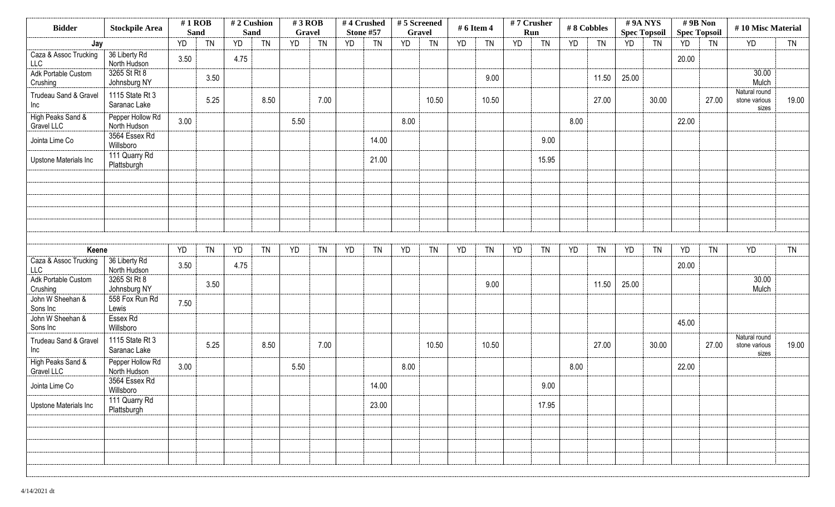| <b>Bidder</b>                       | <b>Stockpile Area</b>            | $#1$ ROB<br><b>Sand</b> |           | <b>Sand</b> | #2 Cushion | $#3$ ROB<br>Gravel |           |           | #4 Crushed<br><b>Stone #57</b> | #5 Screened<br><b>Gravel</b> |           | # 6 Item 4 |           | #7 Crusher<br>Run |           |      | #8 Cobbles | #9A NYS<br><b>Spec Topsoil</b> |           | #9B Non<br><b>Spec Topsoil</b> |           | #10 Misc Material                       |           |
|-------------------------------------|----------------------------------|-------------------------|-----------|-------------|------------|--------------------|-----------|-----------|--------------------------------|------------------------------|-----------|------------|-----------|-------------------|-----------|------|------------|--------------------------------|-----------|--------------------------------|-----------|-----------------------------------------|-----------|
| Jay                                 |                                  | YD                      | <b>TN</b> | YD          | <b>TN</b>  | YD                 | <b>TN</b> | <b>YD</b> | <b>TN</b>                      | YD                           | <b>TN</b> | YD         | <b>TN</b> | <b>YD</b>         | <b>TN</b> | YD   | <b>TN</b>  | YD                             | <b>TN</b> | YD                             | <b>TN</b> | YD                                      | <b>TN</b> |
| Caza & Assoc Trucking<br><b>LLC</b> | 36 Liberty Rd<br>North Hudson    | 3.50                    |           | 4.75        |            |                    |           |           |                                |                              |           |            |           |                   |           |      |            |                                |           | 20.00                          |           |                                         |           |
| Adk Portable Custom<br>Crushing     | 3265 St Rt 8<br>Johnsburg NY     |                         | 3.50      |             |            |                    |           |           |                                |                              |           |            | 9.00      |                   |           |      | 11.50      | 25.00                          |           |                                |           | 30.00<br>Mulch                          |           |
| Trudeau Sand & Gravel<br>Inc        | 1115 State Rt 3<br>Saranac Lake  |                         | 5.25      |             | 8.50       |                    | 7.00      |           |                                |                              | 10.50     |            | 10.50     |                   |           |      | 27.00      |                                | 30.00     |                                | 27.00     | Natural round<br>stone various<br>sizes | 19.00     |
| High Peaks Sand &<br>Gravel LLC     | Pepper Hollow Rd<br>North Hudson | 3.00                    |           |             |            | 5.50               |           |           |                                | 8.00                         |           |            |           |                   |           | 8.00 |            |                                |           | 22.00                          |           |                                         |           |
| Jointa Lime Co                      | 3564 Essex Rd<br>Willsboro       |                         |           |             |            |                    |           |           | 14.00                          |                              |           |            |           |                   | 9.00      |      |            |                                |           |                                |           |                                         |           |
| Upstone Materials Inc               | 111 Quarry Rd<br>Plattsburgh     |                         |           |             |            |                    |           |           | 21.00                          |                              |           |            |           |                   | 15.95     |      |            |                                |           |                                |           |                                         |           |
|                                     |                                  |                         |           |             |            |                    |           |           |                                |                              |           |            |           |                   |           |      |            |                                |           |                                |           |                                         |           |
|                                     |                                  |                         |           |             |            |                    |           |           |                                |                              |           |            |           |                   |           |      |            |                                |           |                                |           |                                         |           |
|                                     |                                  |                         |           |             |            |                    |           |           |                                |                              |           |            |           |                   |           |      |            |                                |           |                                |           |                                         |           |
| Keene                               |                                  | YD                      | <b>TN</b> | YD          | <b>TN</b>  | YD                 | <b>TN</b> | <b>YD</b> | <b>TN</b>                      | YD                           | <b>TN</b> | YD         | <b>TN</b> | YD                | <b>TN</b> | YD   | <b>TN</b>  | YD                             | <b>TN</b> | <b>YD</b>                      | <b>TN</b> | YD                                      | <b>TN</b> |
| Caza & Assoc Trucking<br>LLC        | 36 Liberty Rd<br>North Hudson    | 3.50                    |           | 4.75        |            |                    |           |           |                                |                              |           |            |           |                   |           |      |            |                                |           | 20.00                          |           |                                         |           |
| Adk Portable Custom<br>Crushing     | 3265 St Rt 8<br>Johnsburg NY     |                         | 3.50      |             |            |                    |           |           |                                |                              |           |            | 9.00      |                   |           |      | 11.50      | 25.00                          |           |                                |           | 30.00<br>Mulch                          |           |
| John W Sheehan &<br>Sons Inc        | 558 Fox Run Rd<br>Lewis          | 7.50                    |           |             |            |                    |           |           |                                |                              |           |            |           |                   |           |      |            |                                |           |                                |           |                                         |           |
| John W Sheehan &<br>Sons Inc        | Essex Rd<br>Willsboro            |                         |           |             |            |                    |           |           |                                |                              |           |            |           |                   |           |      |            |                                |           | 45.00                          |           |                                         |           |
| Trudeau Sand & Gravel<br>Inc        | 1115 State Rt 3<br>Saranac Lake  |                         | 5.25      |             | 8.50       |                    | 7.00      |           |                                |                              | 10.50     |            | 10.50     |                   |           |      | 27.00      |                                | 30.00     |                                | 27.00     | Natural round<br>stone various<br>sizes | 19.00     |
| High Peaks Sand &<br>Gravel LLC     | Pepper Hollow Rd<br>North Hudson | 3.00                    |           |             |            | 5.50               |           |           |                                | 8.00                         |           |            |           |                   |           | 8.00 |            |                                |           | 22.00                          |           |                                         |           |
| Jointa Lime Co                      | 3564 Essex Rd<br>Willsboro       |                         |           |             |            |                    |           |           | 14.00                          |                              |           |            |           |                   | 9.00      |      |            |                                |           |                                |           |                                         |           |
| Upstone Materials Inc               | 111 Quarry Rd<br>Plattsburgh     |                         |           |             |            |                    |           |           | 23.00                          |                              |           |            |           |                   | 17.95     |      |            |                                |           |                                |           |                                         |           |
|                                     |                                  |                         |           |             |            |                    |           |           |                                |                              |           |            |           |                   |           |      |            |                                |           |                                |           |                                         |           |
|                                     |                                  |                         |           |             |            |                    |           |           |                                |                              |           |            |           |                   |           |      |            |                                |           |                                |           |                                         |           |
|                                     |                                  |                         |           |             |            |                    |           |           |                                |                              |           |            |           |                   |           |      |            |                                |           |                                |           |                                         |           |
|                                     |                                  |                         |           |             |            |                    |           |           |                                |                              |           |            |           |                   |           |      |            |                                |           |                                |           |                                         |           |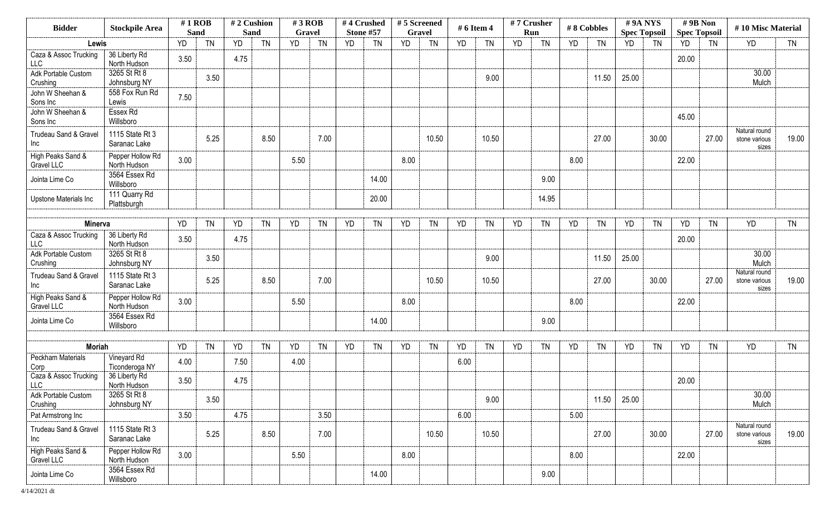| <b>Bidder</b>                       | <b>Stockpile Area</b>            | $#1$ ROB    |           | #2 Cushion |           | $#3$ ROB |           |           | #4 Crushed | #5 Screened   |           | # 6 Item 4 |           | #7 Crusher |           |      | #8 Cobbles |       | #9A NYS             | #9B Non   |                     | #10 Misc Material                       |           |
|-------------------------------------|----------------------------------|-------------|-----------|------------|-----------|----------|-----------|-----------|------------|---------------|-----------|------------|-----------|------------|-----------|------|------------|-------|---------------------|-----------|---------------------|-----------------------------------------|-----------|
|                                     |                                  | <b>Sand</b> |           | Sand       |           | Gravel   |           |           | Stone #57  | <b>Gravel</b> |           |            |           |            | Run       |      |            |       | <b>Spec Topsoil</b> |           | <b>Spec Topsoil</b> |                                         |           |
| Lewis                               |                                  | YD          | <b>TN</b> | YD         | <b>TN</b> | YD       | <b>TN</b> | <b>YD</b> | <b>TN</b>  | <b>YD</b>     | <b>TN</b> | <b>YD</b>  | <b>TN</b> | <b>YD</b>  | <b>TN</b> | YD   | <b>TN</b>  | YD    | <b>TN</b>           | <b>YD</b> | <b>TN</b>           | YD                                      | <b>TN</b> |
| Caza & Assoc Trucking<br><b>LLC</b> | 36 Liberty Rd<br>North Hudson    | 3.50        |           | 4.75       |           |          |           |           |            |               |           |            |           |            |           |      |            |       |                     | 20.00     |                     |                                         |           |
| Adk Portable Custom<br>Crushing     | 3265 St Rt 8<br>Johnsburg NY     |             | 3.50      |            |           |          |           |           |            |               |           |            | 9.00      |            |           |      | 11.50      | 25.00 |                     |           |                     | 30.00<br>Mulch                          |           |
| John W Sheehan &<br>Sons Inc        | 558 Fox Run Rd<br>Lewis          | 7.50        |           |            |           |          |           |           |            |               |           |            |           |            |           |      |            |       |                     |           |                     |                                         |           |
| John W Sheehan &<br>Sons Inc        | Essex Rd<br>Willsboro            |             |           |            |           |          |           |           |            |               |           |            |           |            |           |      |            |       |                     | 45.00     |                     |                                         |           |
| Trudeau Sand & Gravel<br>Inc        | 1115 State Rt 3<br>Saranac Lake  |             | 5.25      |            | 8.50      |          | 7.00      |           |            |               | 10.50     |            | 10.50     |            |           |      | 27.00      |       | 30.00               |           | 27.00               | Natural round<br>stone various<br>sizes | 19.00     |
| High Peaks Sand &<br>Gravel LLC     | Pepper Hollow Rd<br>North Hudson | 3.00        |           |            |           | 5.50     |           |           |            | 8.00          |           |            |           |            |           | 8.00 |            |       |                     | 22.00     |                     |                                         |           |
| Jointa Lime Co                      | 3564 Essex Rd<br>Willsboro       |             |           |            |           |          |           |           | 14.00      |               |           |            |           |            | 9.00      |      |            |       |                     |           |                     |                                         |           |
| Upstone Materials Inc               | 111 Quarry Rd<br>Plattsburgh     |             |           |            |           |          |           |           | 20.00      |               |           |            |           |            | 14.95     |      |            |       |                     |           |                     |                                         |           |
| Minerva                             |                                  | YD          | <b>TN</b> | YD         | <b>TN</b> | YD       | <b>TN</b> | <b>YD</b> | <b>TN</b>  | YD            | <b>TN</b> | <b>YD</b>  | <b>TN</b> | <b>YD</b>  | <b>TN</b> | YD   | <b>TN</b>  | YD    | <b>TN</b>           | <b>YD</b> | <b>TN</b>           | <b>YD</b>                               | <b>TN</b> |
| Caza & Assoc Trucking<br>LLC        | 36 Liberty Rd<br>North Hudson    | 3.50        |           | 4.75       |           |          |           |           |            |               |           |            |           |            |           |      |            |       |                     | 20.00     |                     |                                         |           |
| Adk Portable Custom<br>Crushing     | 3265 St Rt 8<br>Johnsburg NY     |             | 3.50      |            |           |          |           |           |            |               |           |            | 9.00      |            |           |      | 11.50      | 25.00 |                     |           |                     | 30.00<br>Mulch                          |           |
| Trudeau Sand & Gravel<br>Inc        | 1115 State Rt 3<br>Saranac Lake  |             | 5.25      |            | 8.50      |          | 7.00      |           |            |               | 10.50     |            | 10.50     |            |           |      | 27.00      |       | 30.00               |           | 27.00               | Natural round<br>stone various<br>sizes | 19.00     |
| High Peaks Sand &<br>Gravel LLC     | Pepper Hollow Rd<br>North Hudson | 3.00        |           |            |           | 5.50     |           |           |            | 8.00          |           |            |           |            |           | 8.00 |            |       |                     | 22.00     |                     |                                         |           |
| Jointa Lime Co                      | 3564 Essex Rd<br>Willsboro       |             |           |            |           |          |           |           | 14.00      |               |           |            |           |            | 9.00      |      |            |       |                     |           |                     |                                         |           |
| <b>Moriah</b>                       |                                  | YD          | <b>TN</b> | YD         | <b>TN</b> | YD       | <b>TN</b> | YD        | <b>TN</b>  |               | <b>TN</b> | YD         | <b>TN</b> | YD         | <b>TN</b> | YD   | <b>TN</b>  | YD    |                     |           | <b>TN</b>           | <b>YD</b>                               | <b>TN</b> |
| Peckham Materials                   | Vineyard Rd                      |             |           |            |           |          |           |           |            | YD            |           |            |           |            |           |      |            |       | <b>TN</b>           | YD        |                     |                                         |           |
| Corp                                | Ticonderoga NY                   | 4.00        |           | 7.50       |           | 4.00     |           |           |            |               |           | 6.00       |           |            |           |      |            |       |                     |           |                     |                                         |           |
| Caza & Assoc Trucking<br><b>LLC</b> | 36 Liberty Rd<br>North Hudson    | 3.50        |           | 4.75       |           |          |           |           |            |               |           |            |           |            |           |      |            |       |                     | 20.00     |                     |                                         |           |
| Adk Portable Custom<br>Crushing     | 3265 St Rt 8<br>Johnsburg NY     |             | 3.50      |            |           |          |           |           |            |               |           |            | 9.00      |            |           |      | 11.50      | 25.00 |                     |           |                     | 30.00<br>Mulch                          |           |
| Pat Armstrong Inc                   |                                  | 3.50        |           | 4.75       |           |          | 3.50      |           |            |               |           | 6.00       |           |            |           | 5.00 |            |       |                     |           |                     |                                         |           |
| Trudeau Sand & Gravel<br>Inc        | 1115 State Rt 3<br>Saranac Lake  |             | 5.25      |            | 8.50      |          | 7.00      |           |            |               | 10.50     |            | 10.50     |            |           |      | 27.00      |       | 30.00               |           | 27.00               | Natural round<br>stone various<br>sizes | 19.00     |
| High Peaks Sand &<br>Gravel LLC     | Pepper Hollow Rd<br>North Hudson | 3.00        |           |            |           | 5.50     |           |           |            | 8.00          |           |            |           |            |           | 8.00 |            |       |                     | 22.00     |                     |                                         |           |
| Jointa Lime Co                      | 3564 Essex Rd<br>Willsboro       |             |           |            |           |          |           |           | 14.00      |               |           |            |           |            | 9.00      |      |            |       |                     |           |                     |                                         |           |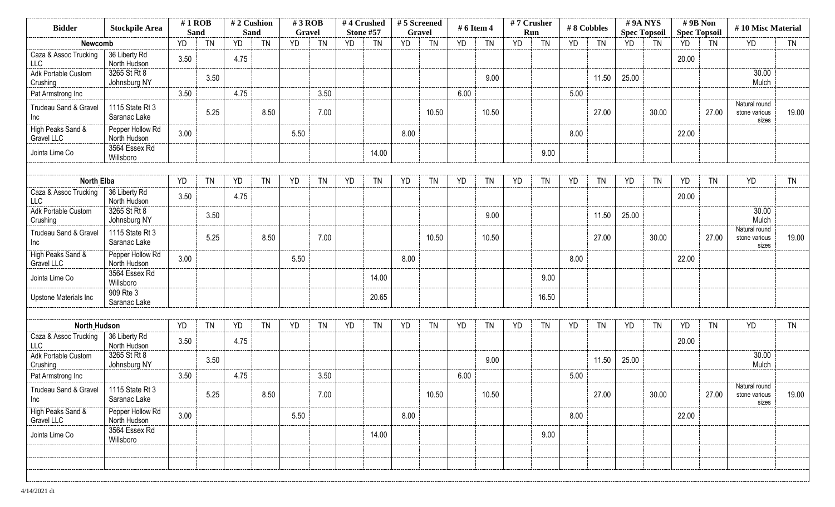| <b>Bidder</b>                       | <b>Stockpile Area</b>            | $#1$ ROB<br><b>Sand</b> |           | #2 Cushion<br>Sand |           | $#3$ ROB<br>Gravel |           |           | #4 Crushed<br>Stone #57 | #5 Screened<br>Gravel |           | # 6 Item 4 |           |           | #7 Crusher<br>Run | #8 Cobbles |           | #9A NYS<br><b>Spec Topsoil</b> |           | #9B Non   | <b>Spec Topsoil</b> | #10 Misc Material                       |           |
|-------------------------------------|----------------------------------|-------------------------|-----------|--------------------|-----------|--------------------|-----------|-----------|-------------------------|-----------------------|-----------|------------|-----------|-----------|-------------------|------------|-----------|--------------------------------|-----------|-----------|---------------------|-----------------------------------------|-----------|
| Newcomb                             |                                  | YD                      | <b>TN</b> | YD                 | <b>TN</b> | YD                 | <b>TN</b> | <b>YD</b> | <b>TN</b>               | <b>YD</b>             | <b>TN</b> | <b>YD</b>  | <b>TN</b> | <b>YD</b> | <b>TN</b>         | YD         | <b>TN</b> | <b>YD</b>                      | <b>TN</b> | <b>YD</b> | <b>TN</b>           | YD                                      | <b>TN</b> |
| Caza & Assoc Trucking<br><b>LLC</b> | 36 Liberty Rd<br>North Hudson    | 3.50                    |           | 4.75               |           |                    |           |           |                         |                       |           |            |           |           |                   |            |           |                                |           | 20.00     |                     |                                         |           |
| Adk Portable Custom<br>Crushing     | 3265 St Rt 8<br>Johnsburg NY     |                         | 3.50      |                    |           |                    |           |           |                         |                       |           |            | 9.00      |           |                   |            | 11.50     | 25.00                          |           |           |                     | 30.00<br>Mulch                          |           |
| Pat Armstrong Inc                   |                                  | 3.50                    |           | 4.75               |           |                    | 3.50      |           |                         |                       |           | 6.00       |           |           |                   | 5.00       |           |                                |           |           |                     |                                         |           |
| Trudeau Sand & Gravel<br>Inc        | 1115 State Rt 3<br>Saranac Lake  |                         | 5.25      |                    | 8.50      |                    | 7.00      |           |                         |                       | 10.50     |            | 10.50     |           |                   |            | 27.00     |                                | 30.00     |           | 27.00               | Natural round<br>stone various<br>sizes | 19.00     |
| High Peaks Sand &<br>Gravel LLC     | Pepper Hollow Rd<br>North Hudson | 3.00                    |           |                    |           | 5.50               |           |           |                         | 8.00                  |           |            |           |           |                   | 8.00       |           |                                |           | 22.00     |                     |                                         |           |
| Jointa Lime Co                      | 3564 Essex Rd<br>Willsboro       |                         |           |                    |           |                    |           |           | 14.00                   |                       |           |            |           |           | 9.00              |            |           |                                |           |           |                     |                                         |           |
|                                     |                                  |                         |           |                    |           |                    |           |           |                         |                       |           |            |           |           |                   |            |           |                                |           |           |                     |                                         |           |
| <b>North Elba</b>                   |                                  | YD                      | <b>TN</b> | YD                 | <b>TN</b> | YD                 | <b>TN</b> | YD        | <b>TN</b>               | YD                    | <b>TN</b> | <b>YD</b>  | <b>TN</b> | <b>YD</b> | <b>TN</b>         | YD         | TN        | YD                             | <b>TN</b> | <b>YD</b> | <b>TN</b>           | <b>YD</b>                               | <b>TN</b> |
| Caza & Assoc Trucking<br><b>LLC</b> | 36 Liberty Rd<br>North Hudson    | 3.50                    |           | 4.75               |           |                    |           |           |                         |                       |           |            |           |           |                   |            |           |                                |           | 20.00     |                     |                                         |           |
| Adk Portable Custom<br>Crushing     | 3265 St Rt 8<br>Johnsburg NY     |                         | 3.50      |                    |           |                    |           |           |                         |                       |           |            | 9.00      |           |                   |            | 11.50     | 25.00                          |           |           |                     | 30.00<br>Mulch                          |           |
| Trudeau Sand & Gravel<br>Inc        | 1115 State Rt 3<br>Saranac Lake  |                         | 5.25      |                    | 8.50      |                    | 7.00      |           |                         |                       | 10.50     |            | 10.50     |           |                   |            | 27.00     |                                | 30.00     |           | 27.00               | Natural round<br>stone various<br>sizes | 19.00     |
| High Peaks Sand &<br>Gravel LLC     | Pepper Hollow Rd<br>North Hudson | 3.00                    |           |                    |           | 5.50               |           |           |                         | 8.00                  |           |            |           |           |                   | 8.00       |           |                                |           | 22.00     |                     |                                         |           |
| Jointa Lime Co                      | 3564 Essex Rd<br>Willsboro       |                         |           |                    |           |                    |           |           | 14.00                   |                       |           |            |           |           | 9.00              |            |           |                                |           |           |                     |                                         |           |
| Upstone Materials Inc               | 909 Rte 3<br>Saranac Lake        |                         |           |                    |           |                    |           |           | 20.65                   |                       |           |            |           |           | 16.50             |            |           |                                |           |           |                     |                                         |           |
|                                     |                                  |                         |           |                    |           |                    |           |           |                         |                       |           |            |           |           |                   |            |           |                                |           |           |                     |                                         |           |
| <b>North Hudson</b>                 |                                  | YD                      | <b>TN</b> | YD                 | <b>TN</b> | YD                 | <b>TN</b> | YD        | <b>TN</b>               | YD                    | <b>TN</b> | YD         | <b>TN</b> | YD        | <b>TN</b>         | YD         | <b>TN</b> | YD                             | <b>TN</b> | YD        | <b>TN</b>           | <b>YD</b>                               | <b>TN</b> |
| Caza & Assoc Trucking<br><b>LLC</b> | 36 Liberty Rd<br>North Hudson    | 3.50                    |           | 4.75               |           |                    |           |           |                         |                       |           |            |           |           |                   |            |           |                                |           | 20.00     |                     |                                         |           |
| Adk Portable Custom<br>Crushing     | 3265 St Rt 8<br>Johnsburg NY     |                         | 3.50      |                    |           |                    |           |           |                         |                       |           |            | 9.00      |           |                   |            | 11.50     | 25.00                          |           |           |                     | 30.00<br>Mulch                          |           |
| Pat Armstrong Inc                   |                                  | 3.50                    |           | 4.75               |           |                    | 3.50      |           |                         |                       |           | 6.00       |           |           |                   | 5.00       |           |                                |           |           |                     |                                         |           |
| Trudeau Sand & Gravel<br>Inc        | 1115 State Rt 3<br>Saranac Lake  |                         | 5.25      |                    | 8.50      |                    | 7.00      |           |                         |                       | 10.50     |            | 10.50     |           |                   |            | 27.00     |                                | 30.00     |           | 27.00               | Natural round<br>stone various<br>sizes | 19.00     |
| High Peaks Sand &<br>Gravel LLC     | Pepper Hollow Rd<br>North Hudson | 3.00                    |           |                    |           | 5.50               |           |           |                         | 8.00                  |           |            |           |           |                   | 8.00       |           |                                |           | 22.00     |                     |                                         |           |
| Jointa Lime Co                      | 3564 Essex Rd<br>Willsboro       |                         |           |                    |           |                    |           |           | 14.00                   |                       |           |            |           |           | 9.00              |            |           |                                |           |           |                     |                                         |           |
|                                     |                                  |                         |           |                    |           |                    |           |           |                         |                       |           |            |           |           |                   |            |           |                                |           |           |                     |                                         |           |
|                                     |                                  |                         |           |                    |           |                    |           |           |                         |                       |           |            |           |           |                   |            |           |                                |           |           |                     |                                         |           |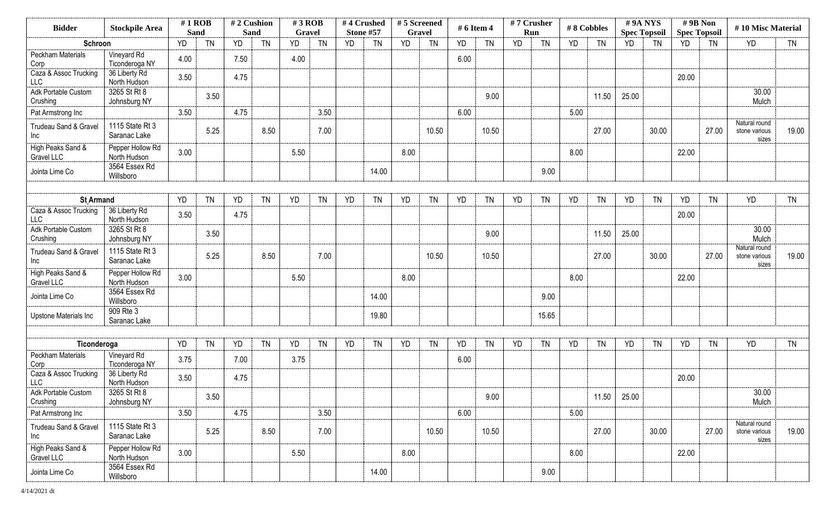| <b>Bidder</b>                       | <b>Stockpile Area</b>            | $#1$ ROB<br><b>Sand</b> |           | #2 Cushion<br>Sand |           | $#3$ ROB<br>Gravel |           |           | #4 Crushed<br>Stone #57 | #5 Screened<br>Gravel |           | # 6 Item 4 |           | #7 Crusher | Run       |           | #8 Cobbles | #9A NYS<br><b>Spec Topsoil</b> |           | #9B Non<br><b>Spec Topsoil</b> |           | #10 Misc Material                       |           |
|-------------------------------------|----------------------------------|-------------------------|-----------|--------------------|-----------|--------------------|-----------|-----------|-------------------------|-----------------------|-----------|------------|-----------|------------|-----------|-----------|------------|--------------------------------|-----------|--------------------------------|-----------|-----------------------------------------|-----------|
| Schroon                             |                                  | YD                      | <b>TN</b> | YD                 | <b>TN</b> | YD                 | <b>TN</b> | <b>YD</b> | <b>TN</b>               | <b>YD</b>             | <b>TN</b> | <b>YD</b>  | <b>TN</b> | <b>YD</b>  | <b>TN</b> | <b>YD</b> | <b>TN</b>  | <b>YD</b>                      | <b>TN</b> | YD                             | <b>TN</b> | <b>YD</b>                               | <b>TN</b> |
| Peckham Materials<br>Corp           | Vineyard Rd<br>Ticonderoga NY    | 4.00                    |           | 7.50               |           | 4.00               |           |           |                         |                       |           | 6.00       |           |            |           |           |            |                                |           |                                |           |                                         |           |
| Caza & Assoc Trucking<br><b>LLC</b> | 36 Liberty Rd<br>North Hudson    | 3.50                    |           | 4.75               |           |                    |           |           |                         |                       |           |            |           |            |           |           |            |                                |           | 20.00                          |           |                                         |           |
| Adk Portable Custom<br>Crushing     | 3265 St Rt 8<br>Johnsburg NY     |                         | 3.50      |                    |           |                    |           |           |                         |                       |           |            | 9.00      |            |           |           | 11.50      | 25.00                          |           |                                |           | 30.00<br>Mulch                          |           |
| Pat Armstrong Inc                   |                                  | 3.50                    |           | 4.75               |           |                    | 3.50      |           |                         |                       |           | 6.00       |           |            |           | 5.00      |            |                                |           |                                |           |                                         |           |
| Trudeau Sand & Gravel<br>Inc        | 1115 State Rt 3<br>Saranac Lake  |                         | 5.25      |                    | 8.50      |                    | 7.00      |           |                         |                       | 10.50     |            | 10.50     |            |           |           | 27.00      |                                | 30.00     |                                | 27.00     | Natural round<br>stone various<br>sizes | 19.00     |
| High Peaks Sand &<br>Gravel LLC     | Pepper Hollow Rd<br>North Hudson | 3.00                    |           |                    |           | 5.50               |           |           |                         | 8.00                  |           |            |           |            |           | 8.00      |            |                                |           | 22.00                          |           |                                         |           |
| Jointa Lime Co                      | 3564 Essex Rd<br>Willsboro       |                         |           |                    |           |                    |           |           | 14.00                   |                       |           |            |           |            | 9.00      |           |            |                                |           |                                |           |                                         |           |
|                                     |                                  |                         |           |                    |           |                    |           |           |                         |                       |           |            |           |            |           |           |            |                                |           |                                |           |                                         |           |
| <b>St Armand</b>                    |                                  | YD                      | <b>TN</b> | YD                 | <b>TN</b> | <b>YD</b>          | <b>TN</b> | <b>YD</b> | <b>TN</b>               | YD                    | <b>TN</b> | YD         | <b>TN</b> | <b>YD</b>  | <b>TN</b> | YD        | TN         | YD                             | <b>TN</b> | YD                             | <b>TN</b> | <b>YD</b>                               | <b>TN</b> |
| Caza & Assoc Trucking<br><b>LLC</b> | 36 Liberty Rd<br>North Hudson    | 3.50                    |           | 4.75               |           |                    |           |           |                         |                       |           |            |           |            |           |           |            |                                |           | 20.00                          |           |                                         |           |
| Adk Portable Custom<br>Crushing     | 3265 St Rt 8<br>Johnsburg NY     |                         | 3.50      |                    |           |                    |           |           |                         |                       |           |            | 9.00      |            |           |           | 11.50      | 25.00                          |           |                                |           | 30.00<br>Mulch                          |           |
| Trudeau Sand & Gravel<br>Inc        | 1115 State Rt 3<br>Saranac Lake  |                         | 5.25      |                    | 8.50      |                    | 7.00      |           |                         |                       | 10.50     |            | 10.50     |            |           |           | 27.00      |                                | 30.00     |                                | 27.00     | Natural round<br>stone various<br>sizes | 19.00     |
| High Peaks Sand &<br>Gravel LLC     | Pepper Hollow Rd<br>North Hudson | 3.00                    |           |                    |           | 5.50               |           |           |                         | 8.00                  |           |            |           |            |           | 8.00      |            |                                |           | 22.00                          |           |                                         |           |
| Jointa Lime Co                      | 3564 Essex Rd<br>Willsboro       |                         |           |                    |           |                    |           |           | 14.00                   |                       |           |            |           |            | 9.00      |           |            |                                |           |                                |           |                                         |           |
| Upstone Materials Inc               | 909 Rte 3<br>Saranac Lake        |                         |           |                    |           |                    |           |           | 19.80                   |                       |           |            |           |            | 15.65     |           |            |                                |           |                                |           |                                         |           |
| Ticonderoga                         |                                  | YD                      | <b>TN</b> | YD                 | <b>TN</b> | YD                 | <b>TN</b> | <b>YD</b> | <b>TN</b>               | YD                    | <b>TN</b> | YD         | <b>TN</b> | YD         | <b>TN</b> | <b>YD</b> | <b>TN</b>  | YD                             | <b>TN</b> | YD                             | <b>TN</b> | <b>YD</b>                               | <b>TN</b> |
| Peckham Materials<br>Corp           | Vineyard Rd<br>Ticonderoga NY    | 3.75                    |           | 7.00               |           | 3.75               |           |           |                         |                       |           | 6.00       |           |            |           |           |            |                                |           |                                |           |                                         |           |
| Caza & Assoc Trucking<br><b>LLC</b> | 36 Liberty Rd<br>North Hudson    | 3.50                    |           | 4.75               |           |                    |           |           |                         |                       |           |            |           |            |           |           |            |                                |           | 20.00                          |           |                                         |           |
| Adk Portable Custom<br>Crushing     | 3265 St Rt 8<br>Johnsburg NY     |                         | 3.50      |                    |           |                    |           |           |                         |                       |           |            | 9.00      |            |           |           | 11.50      | 25.00                          |           |                                |           | 30.00<br>Mulch                          |           |
| Pat Armstrong Inc                   |                                  | 3.50                    |           | 4.75               |           |                    | 3.50      |           |                         |                       |           | 6.00       |           |            |           | 5.00      |            |                                |           |                                |           |                                         |           |
| Trudeau Sand & Gravel<br>Inc        | 1115 State Rt 3<br>Saranac Lake  |                         | 5.25      |                    | 8.50      |                    | 7.00      |           |                         |                       | 10.50     |            | 10.50     |            |           |           | 27.00      |                                | 30.00     |                                | 27.00     | Natural round<br>stone various<br>sizes | 19.00     |
| High Peaks Sand &<br>Gravel LLC     | Pepper Hollow Rd<br>North Hudson | 3.00                    |           |                    |           | 5.50               |           |           |                         | 8.00                  |           |            |           |            |           | 8.00      |            |                                |           | 22.00                          |           |                                         |           |
| Jointa Lime Co                      | 3564 Essex Rd<br>Willsboro       |                         |           |                    |           |                    |           |           | 14.00                   |                       |           |            |           |            | 9.00      |           |            |                                |           |                                |           |                                         |           |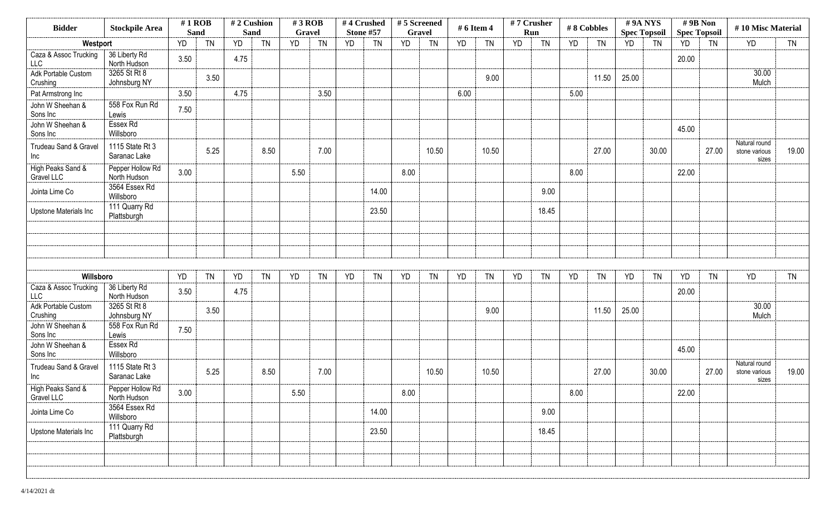| <b>Bidder</b>                       | <b>Stockpile Area</b>            | $#1$ ROB<br><b>Sand</b> |           | #2 Cushion<br><b>Sand</b> |           | $#3$ ROB<br>Gravel |           | #4 Crushed<br><b>Stone #57</b> |           | #5 Screened<br><b>Gravel</b> |           | # 6 Item 4 |           | #7 Crusher<br>Run |           | #8 Cobbles |           | #9A NYS<br><b>Spec Topsoil</b> |           | #9B Non<br><b>Spec Topsoil</b> |           | #10 Misc Material                       |           |
|-------------------------------------|----------------------------------|-------------------------|-----------|---------------------------|-----------|--------------------|-----------|--------------------------------|-----------|------------------------------|-----------|------------|-----------|-------------------|-----------|------------|-----------|--------------------------------|-----------|--------------------------------|-----------|-----------------------------------------|-----------|
| Westport                            |                                  | YD                      | <b>TN</b> | YD                        | <b>TN</b> | <b>YD</b>          | <b>TN</b> | <b>YD</b>                      | <b>TN</b> | YD                           | <b>TN</b> | YD         | <b>TN</b> | <b>YD</b>         | <b>TN</b> | YD         | <b>TN</b> | <b>YD</b>                      | <b>TN</b> | YD                             | <b>TN</b> | <b>YD</b>                               | <b>TN</b> |
| Caza & Assoc Trucking<br><b>LLC</b> | 36 Liberty Rd<br>North Hudson    | 3.50                    |           | 4.75                      |           |                    |           |                                |           |                              |           |            |           |                   |           |            |           |                                |           | 20.00                          |           |                                         |           |
| Adk Portable Custom<br>Crushing     | 3265 St Rt 8<br>Johnsburg NY     |                         | 3.50      |                           |           |                    |           |                                |           |                              |           |            | 9.00      |                   |           |            | 11.50     | 25.00                          |           |                                |           | 30.00<br>Mulch                          |           |
| Pat Armstrong Inc                   |                                  | 3.50                    |           | 4.75                      |           |                    | 3.50      |                                |           |                              |           | 6.00       |           |                   |           | 5.00       |           |                                |           |                                |           |                                         |           |
| John W Sheehan &<br>Sons Inc        | 558 Fox Run Rd<br>Lewis          | 7.50                    |           |                           |           |                    |           |                                |           |                              |           |            |           |                   |           |            |           |                                |           |                                |           |                                         |           |
| John W Sheehan &<br>Sons Inc        | Essex Rd<br>Willsboro            |                         |           |                           |           |                    |           |                                |           |                              |           |            |           |                   |           |            |           |                                |           | 45.00                          |           |                                         |           |
| Trudeau Sand & Gravel<br>Inc        | 1115 State Rt 3<br>Saranac Lake  |                         | 5.25      |                           | 8.50      |                    | 7.00      |                                |           |                              | 10.50     |            | 10.50     |                   |           |            | 27.00     |                                | 30.00     |                                | 27.00     | Natural round<br>stone various<br>sizes | 19.00     |
| High Peaks Sand &<br>Gravel LLC     | Pepper Hollow Rd<br>North Hudson | 3.00                    |           |                           |           | 5.50               |           |                                |           | 8.00                         |           |            |           |                   |           | 8.00       |           |                                |           | 22.00                          |           |                                         |           |
| Jointa Lime Co                      | 3564 Essex Rd<br>Willsboro       |                         |           |                           |           |                    |           |                                | 14.00     |                              |           |            |           |                   | 9.00      |            |           |                                |           |                                |           |                                         |           |
| Upstone Materials Inc               | 111 Quarry Rd<br>Plattsburgh     |                         |           |                           |           |                    |           |                                | 23.50     |                              |           |            |           |                   | 18.45     |            |           |                                |           |                                |           |                                         |           |
|                                     |                                  |                         |           |                           |           |                    |           |                                |           |                              |           |            |           |                   |           |            |           |                                |           |                                |           |                                         |           |
|                                     |                                  |                         |           |                           |           |                    |           |                                |           |                              |           |            |           |                   |           |            |           |                                |           |                                |           |                                         |           |
|                                     |                                  |                         |           |                           |           |                    |           |                                |           |                              |           |            |           |                   |           |            |           |                                |           |                                |           |                                         |           |
| Willsboro                           |                                  | YD                      | <b>TN</b> | YD                        | <b>TN</b> | <b>YD</b>          | <b>TN</b> | YD                             | <b>TN</b> | YD                           | <b>TN</b> | YD         | <b>TN</b> | YD                | <b>TN</b> | YD         | <b>TN</b> | YD                             | <b>TN</b> | YD                             | <b>TN</b> | YD                                      | <b>TN</b> |
| Caza & Assoc Trucking<br><b>LLC</b> | 36 Liberty Rd<br>North Hudson    | 3.50                    |           | 4.75                      |           |                    |           |                                |           |                              |           |            |           |                   |           |            |           |                                |           | 20.00                          |           |                                         |           |
| Adk Portable Custom<br>Crushing     | 3265 St Rt 8<br>Johnsburg NY     |                         | 3.50      |                           |           |                    |           |                                |           |                              |           |            | 9.00      |                   |           |            | 11.50     | 25.00                          |           |                                |           | 30.00<br>Mulch                          |           |
| John W Sheehan &<br>Sons Inc        | 558 Fox Run Rd<br>Lewis          | 7.50                    |           |                           |           |                    |           |                                |           |                              |           |            |           |                   |           |            |           |                                |           |                                |           |                                         |           |
| John W Sheehan &<br>Sons Inc        | Essex Rd<br>Willsboro            |                         |           |                           |           |                    |           |                                |           |                              |           |            |           |                   |           |            |           |                                |           | 45.00                          |           |                                         |           |
| Trudeau Sand & Gravel<br>Inc        | 1115 State Rt 3<br>Saranac Lake  |                         | 5.25      |                           | 8.50      |                    | 7.00      |                                |           |                              | 10.50     |            | 10.50     |                   |           |            | 27.00     |                                | 30.00     |                                | 27.00     | Natural round<br>stone various<br>sizes | 19.00     |
| High Peaks Sand &<br>Gravel LLC     | Pepper Hollow Rd<br>North Hudson | 3.00                    |           |                           |           | 5.50               |           |                                |           | 8.00                         |           |            |           |                   |           | 8.00       |           |                                |           | 22.00                          |           |                                         |           |
| Jointa Lime Co                      | 3564 Essex Rd<br>Willsboro       |                         |           |                           |           |                    |           |                                | 14.00     |                              |           |            |           |                   | 9.00      |            |           |                                |           |                                |           |                                         |           |
| Upstone Materials Inc               | 111 Quarry Rd<br>Plattsburgh     |                         |           |                           |           |                    |           |                                | 23.50     |                              |           |            |           |                   | 18.45     |            |           |                                |           |                                |           |                                         |           |
|                                     |                                  |                         |           |                           |           |                    |           |                                |           |                              |           |            |           |                   |           |            |           |                                |           |                                |           |                                         |           |
|                                     |                                  |                         |           |                           |           |                    |           |                                |           |                              |           |            |           |                   |           |            |           |                                |           |                                |           |                                         |           |